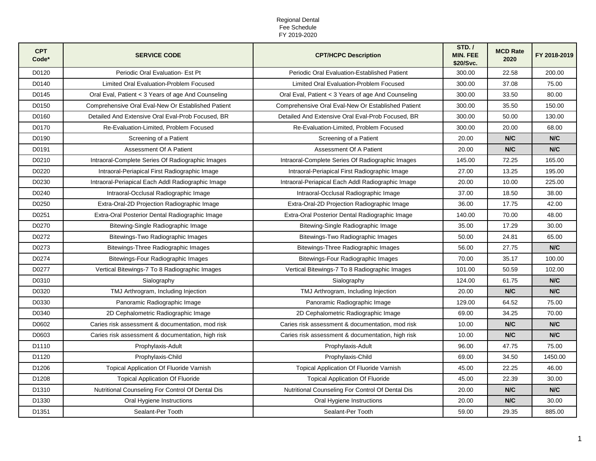| <b>CPT</b><br>Code* | <b>SERVICE CODE</b>                                | <b>CPT/HCPC Description</b>                        | STD./<br><b>MIN. FEE</b><br>\$20/Svc. | <b>MCD Rate</b><br>2020 | FY 2018-2019 |
|---------------------|----------------------------------------------------|----------------------------------------------------|---------------------------------------|-------------------------|--------------|
| D0120               | Periodic Oral Evaluation- Est Pt                   | Periodic Oral Evaluation-Established Patient       | 300.00                                | 22.58                   | 200.00       |
| D0140               | Limited Oral Evaluation-Problem Focused            | Limited Oral Evaluation-Problem Focused            | 300.00                                | 37.08                   | 75.00        |
| D0145               | Oral Eval, Patient < 3 Years of age And Counseling | Oral Eval, Patient < 3 Years of age And Counseling | 300.00                                | 33.50                   | 80.00        |
| D0150               | Comprehensive Oral Eval-New Or Established Patient | Comprehensive Oral Eval-New Or Established Patient | 300.00                                | 35.50                   | 150.00       |
| D0160               | Detailed And Extensive Oral Eval-Prob Focused, BR  | Detailed And Extensive Oral Eval-Prob Focused, BR  | 300.00                                | 50.00                   | 130.00       |
| D0170               | Re-Evaluation-Limited, Problem Focused             | Re-Evaluation-Limited, Problem Focused             | 300.00                                | 20.00                   | 68.00        |
| D0190               | Screening of a Patient                             | Screening of a Patient                             | 20.00                                 | N/C                     | N/C          |
| D0191               | Assessment Of A Patient                            | Assessment Of A Patient                            | 20.00                                 | N/C                     | N/C          |
| D0210               | Intraoral-Complete Series Of Radiographic Images   | Intraoral-Complete Series Of Radiographic Images   | 145.00                                | 72.25                   | 165.00       |
| D0220               | Intraoral-Periapical First Radiographic Image      | Intraoral-Periapical First Radiographic Image      | 27.00                                 | 13.25                   | 195.00       |
| D0230               | Intraoral-Periapical Each Addl Radiographic Image  | Intraoral-Periapical Each Addl Radiographic Image  | 20.00                                 | 10.00                   | 225.00       |
| D0240               | Intraoral-Occlusal Radiographic Image              | Intraoral-Occlusal Radiographic Image              | 37.00                                 | 18.50                   | 38.00        |
| D0250               | Extra-Oral-2D Projection Radiographic Image        | Extra-Oral-2D Projection Radiographic Image        | 36.00                                 | 17.75                   | 42.00        |
| D0251               | Extra-Oral Posterior Dental Radiographic Image     | Extra-Oral Posterior Dental Radiographic Image     | 140.00                                | 70.00                   | 48.00        |
| D0270               | Bitewing-Single Radiographic Image                 | Bitewing-Single Radiographic Image                 | 35.00                                 | 17.29                   | 30.00        |
| D0272               | Bitewings-Two Radiographic Images                  | Bitewings-Two Radiographic Images                  | 50.00                                 | 24.81                   | 65.00        |
| D0273               | Bitewings-Three Radiographic Images                | Bitewings-Three Radiographic Images                | 56.00                                 | 27.75                   | N/C          |
| D0274               | Bitewings-Four Radiographic Images                 | Bitewings-Four Radiographic Images                 | 70.00                                 | 35.17                   | 100.00       |
| D0277               | Vertical Bitewings-7 To 8 Radiographic Images      | Vertical Bitewings-7 To 8 Radiographic Images      | 101.00                                | 50.59                   | 102.00       |
| D0310               | Sialography                                        | Sialography                                        | 124.00                                | 61.75                   | N/C          |
| D0320               | TMJ Arthrogram, Including Injection                | TMJ Arthrogram, Including Injection                | 20.00                                 | N/C                     | N/C          |
| D0330               | Panoramic Radiographic Image                       | Panoramic Radiographic Image                       | 129.00                                | 64.52                   | 75.00        |
| D0340               | 2D Cephalometric Radiographic Image                | 2D Cephalometric Radiographic Image                | 69.00                                 | 34.25                   | 70.00        |
| D0602               | Caries risk assessment & documentation, mod risk   | Caries risk assessment & documentation, mod risk   | 10.00                                 | N/C                     | N/C          |
| D0603               | Caries risk assessment & documentation, high risk  | Caries risk assessment & documentation, high risk  | 10.00                                 | N/C                     | N/C          |
| D1110               | Prophylaxis-Adult                                  | Prophylaxis-Adult                                  | 96.00                                 | 47.75                   | 75.00        |
| D1120               | Prophylaxis-Child                                  | Prophylaxis-Child                                  | 69.00                                 | 34.50                   | 1450.00      |
| D1206               | Topical Application Of Fluoride Varnish            | Topical Application Of Fluoride Varnish            | 45.00                                 | 22.25                   | 46.00        |
| D1208               | <b>Topical Application Of Fluoride</b>             | <b>Topical Application Of Fluoride</b>             | 45.00                                 | 22.39                   | 30.00        |
| D1310               | Nutritional Counseling For Control Of Dental Dis   | Nutritional Counseling For Control Of Dental Dis   | 20.00                                 | N/C                     | N/C          |
| D <sub>1330</sub>   | Oral Hygiene Instructions                          | Oral Hygiene Instructions                          | 20.00                                 | N/C                     | 30.00        |
| D1351               | Sealant-Per Tooth                                  | Sealant-Per Tooth                                  | 59.00                                 | 29.35                   | 885.00       |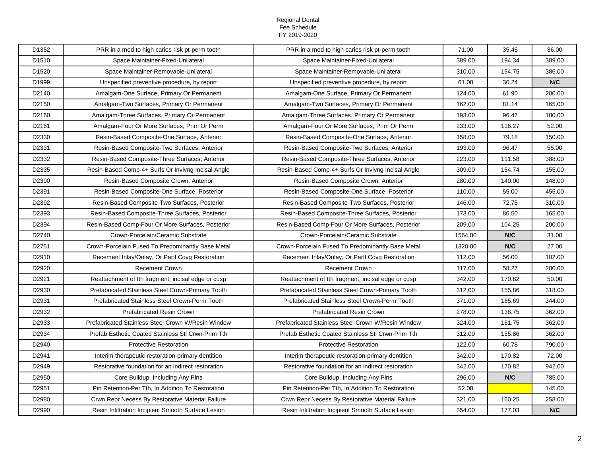| D1352 | PRR in a mod to high caries risk pt-perm tooth     | PRR in a mod to high caries risk pt-perm tooth     | 71.00   | 35.45  | 36.00  |
|-------|----------------------------------------------------|----------------------------------------------------|---------|--------|--------|
| D1510 | Space Maintainer-Fixed-Unilateral                  | Space Maintainer-Fixed-Unilateral                  | 389.00  | 194.34 | 389.00 |
| D1520 | Space Maintainer-Removable-Unilateral              | Space Maintainer-Removable-Unilateral              | 310.00  | 154.75 | 386.00 |
| D1999 | Unspecified preventive procedure, by report        | Unspecified preventive procedure, by report        | 61.00   | 30.24  | N/C    |
| D2140 | Amalgam-One Surface, Primary Or Permanent          | Amalgam-One Surface, Primary Or Permanent          | 124.00  | 61.90  | 200.00 |
| D2150 | Amalgam-Two Surfaces, Primary Or Permanent         | Amalgam-Two Surfaces, Primary Or Permanent         | 162.00  | 81.14  | 165.00 |
| D2160 | Amalgam-Three Surfaces, Primary Or Permanent       | Amalgam-Three Surfaces, Primary Or Permanent       | 193.00  | 96.47  | 100.00 |
| D2161 | Amalgam-Four Or More Surfaces, Prim Or Perm        | Amalgam-Four Or More Surfaces, Prim Or Perm        | 233.00  | 116.27 | 52.00  |
| D2330 | Resin-Based Composite-One Surface, Anterior        | Resin-Based Composite-One Surface, Anterior        | 158.00  | 79.18  | 150.00 |
| D2331 | Resin-Based Composite-Two Surfaces, Anterior       | Resin-Based Composite-Two Surfaces, Anterior       | 193.00  | 96.47  | 55.00  |
| D2332 | Resin-Based Composite-Three Surfaces, Anterior     | Resin-Based Composite-Three Surfaces, Anterior     | 223.00  | 111.58 | 388.00 |
| D2335 | Resin-Based Comp-4+ Surfs Or Invlvng Incisal Angle | Resin-Based Comp-4+ Surfs Or Invivng Incisal Angle | 309.00  | 154.74 | 155.00 |
| D2390 | Resin-Based Composite Crown, Anterior              | Resin-Based Composite Crown, Anterior              | 280.00  | 140.00 | 148.00 |
| D2391 | Resin-Based Composite-One Surface, Posterior       | Resin-Based Composite-One Surface, Posterior       | 110.00  | 55.00  | 455.00 |
| D2392 | Resin-Based Composite-Two Surfaces, Posterior      | Resin-Based Composite-Two Surfaces, Posterior      | 146.00  | 72.75  | 310.00 |
| D2393 | Resin-Based Composite-Three Surfaces, Posterior    | Resin-Based Composite-Three Surfaces, Posterior    | 173.00  | 86.50  | 165.00 |
| D2394 | Resin-Based Comp-Four Or More Surfaces, Posterior  | Resin-Based Comp-Four Or More Surfaces, Posterior  | 209.00  | 104.25 | 200.00 |
| D2740 | Crown-Porcelain/Ceramic Substrate                  | Crown-Porcelain/Ceramic Substrate                  | 1564.00 | N/C    | 31.00  |
| D2751 | Crown-Porcelain Fused To Predominantly Base Metal  | Crown-Porcelain Fused To Predominantly Base Metal  | 1320.00 | N/C    | 27.00  |
| D2910 | Recement Inlay/Onlay, Or Partl Covg Restoration    | Recement Inlay/Onlay, Or Partl Covg Restoration    | 112.00  | 56.00  | 102.00 |
|       |                                                    |                                                    |         |        |        |
| D2920 | <b>Recement Crown</b>                              | <b>Recement Crown</b>                              | 117.00  | 58.27  | 200.00 |
| D2921 | Reattachment of tth fragment, incisal edge or cusp | Reattachment of tth fragment, incisal edge or cusp | 342.00  | 170.82 | 50.00  |
| D2930 | Prefabricated Stainless Steel Crown-Primary Tooth  | Prefabricated Stainless Steel Crown-Primary Tooth  | 312.00  | 155.86 | 318.00 |
| D2931 | Prefabricated Stainless Steel Crown-Perm Tooth     | Prefabricated Stainless Steel Crown-Perm Tooth     | 371.00  | 185.69 | 344.00 |
| D2932 | <b>Prefabricated Resin Crown</b>                   | <b>Prefabricated Resin Crown</b>                   | 278.00  | 138.75 | 362.00 |
| D2933 | Prefabricated Stainless Steel Crown W/Resin Window | Prefabricated Stainless Steel Crown W/Resin Window | 324.00  | 161.75 | 362.00 |
| D2934 | Prefab Esthetic Coated Stainless Stl Crwn-Prim Tth | Prefab Esthetic Coated Stainless Stl Crwn-Prim Tth | 312.00  | 155.86 | 362.00 |
| D2940 | <b>Protective Restoration</b>                      | <b>Protective Restoration</b>                      | 122.00  | 60.78  | 790.00 |
| D2941 | Interim therapeutic restoration-primary dentition  | Interim therapeutic restoration-primary dentition  | 342.00  | 170.82 | 72.00  |
| D2949 | Restorative foundation for an indirect restoration | Restorative foundation for an indirect restoration | 342.00  | 170.82 | 942.00 |
| D2950 | Core Buildup, Including Any Pins                   | Core Buildup, Including Any Pins                   | 296.00  | N/C    | 785.00 |
| D2951 | Pin Retention-Per Tth, In Addition To Restoration  | Pin Retention-Per Tth, In Addition To Restoration  | 52.00   |        | 145.00 |
| D2980 | Crwn Repr Necess By Restorative Material Failure   | Crwn Repr Necess By Restorative Material Failure   | 321.00  | 160.25 | 258.00 |
| D2990 | Resin Infiltration Incipient Smooth Surface Lesion | Resin Infiltration Incipient Smooth Surface Lesion | 354.00  | 177.03 | N/C    |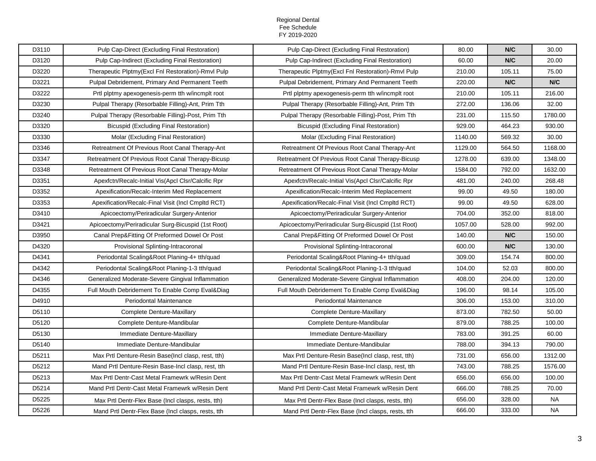| D3110 | Pulp Cap-Direct (Excluding Final Restoration)       | Pulp Cap-Direct (Excluding Final Restoration)      | 80.00   | N/C    | 30.00     |
|-------|-----------------------------------------------------|----------------------------------------------------|---------|--------|-----------|
| D3120 | Pulp Cap-Indirect (Excluding Final Restoration)     | Pulp Cap-Indirect (Excluding Final Restoration)    | 60.00   | N/C    | 20.00     |
| D3220 | Therapeutic Plptmy (Excl Fnl Restoration)-Rmvl Pulp | Therapeutic Plptmy(Excl Fnl Restoration)-Rmvl Pulp | 210.00  | 105.11 | 75.00     |
| D3221 | Pulpal Debridement, Primary And Permanent Teeth     | Pulpal Debridement, Primary And Permanent Teeth    | 220.00  | N/C    | N/C       |
| D3222 | Prtl plptmy apexogenesis-perm tth w/incmplt root    | Prtl plptmy apexogenesis-perm tth w/incmplt root   | 210.00  | 105.11 | 216.00    |
| D3230 | Pulpal Therapy (Resorbable Filling)-Ant, Prim Tth   | Pulpal Therapy (Resorbable Filling)-Ant, Prim Tth  | 272.00  | 136.06 | 32.00     |
| D3240 | Pulpal Therapy (Resorbable Filling)-Post, Prim Tth  | Pulpal Therapy (Resorbable Filling)-Post, Prim Tth | 231.00  | 115.50 | 1780.00   |
| D3320 | <b>Bicuspid (Excluding Final Restoration)</b>       | <b>Bicuspid (Excluding Final Restoration)</b>      | 929.00  | 464.23 | 930.00    |
| D3330 | Molar (Excluding Final Restoration)                 | Molar (Excluding Final Restoration)                | 1140.00 | 569.32 | 30.00     |
| D3346 | Retreatment Of Previous Root Canal Therapy-Ant      | Retreatment Of Previous Root Canal Therapy-Ant     | 1129.00 | 564.50 | 1168.00   |
| D3347 | Retreatment Of Previous Root Canal Therapy-Bicusp   | Retreatment Of Previous Root Canal Therapy-Bicusp  | 1278.00 | 639.00 | 1348.00   |
| D3348 | Retreatment Of Previous Root Canal Therapy-Molar    | Retreatment Of Previous Root Canal Therapy-Molar   | 1584.00 | 792.00 | 1632.00   |
| D3351 | Apexfctn/Recalc-Initial Vis(Apcl Clsr/Calcific Rpr  | Apexfctn/Recalc-Initial Vis(Apcl Clsr/Calcific Rpr | 481.00  | 240.00 | 268.48    |
| D3352 | Apexification/Recalc-Interim Med Replacement        | Apexification/Recalc-Interim Med Replacement       | 99.00   | 49.50  | 180.00    |
| D3353 | Apexification/Recalc-Final Visit (Incl Cmpltd RCT)  | Apexification/Recalc-Final Visit (Incl Cmpltd RCT) | 99.00   | 49.50  | 628.00    |
| D3410 | Apicoectomy/Periradicular Surgery-Anterior          | Apicoectomy/Periradicular Surgery-Anterior         | 704.00  | 352.00 | 818.00    |
| D3421 | Apicoectomy/Periradicular Surg-Bicuspid (1st Root)  | Apicoectomy/Periradicular Surg-Bicuspid (1st Root) | 1057.00 | 528.00 | 992.00    |
| D3950 | Canal Prep&Fitting Of Preformed Dowel Or Post       | Canal Prep&Fitting Of Preformed Dowel Or Post      | 140.00  | N/C    | 150.00    |
| D4320 | Provisional Splinting-Intracoronal                  | Provisional Splinting-Intracoronal                 | 600.00  | N/C    | 130.00    |
| D4341 | Periodontal Scaling&Root Planing-4+ tth/quad        | Periodontal Scaling&Root Planing-4+ tth/quad       | 309.00  | 154.74 | 800.00    |
| D4342 | Periodontal Scaling&Root Planing-1-3 tth/quad       | Periodontal Scaling&Root Planing-1-3 tth/quad      | 104.00  | 52.03  | 800.00    |
| D4346 | Generalized Moderate-Severe Gingival Inflammation   | Generalized Moderate-Severe Gingival Inflammation  | 408.00  | 204.00 | 120.00    |
| D4355 | Full Mouth Debridement To Enable Comp Eval&Diag     | Full Mouth Debridement To Enable Comp Eval&Diag    | 196.00  | 98.14  | 105.00    |
| D4910 | Periodontal Maintenance                             | <b>Periodontal Maintenance</b>                     | 306.00  | 153.00 | 310.00    |
| D5110 | <b>Complete Denture-Maxillary</b>                   | <b>Complete Denture-Maxillary</b>                  | 873.00  | 782.50 | 50.00     |
| D5120 | Complete Denture-Mandibular                         | Complete Denture-Mandibular                        | 879.00  | 788.25 | 100.00    |
| D5130 | Immediate Denture-Maxillary                         | Immediate Denture-Maxillary                        | 783.00  | 391.25 | 60.00     |
| D5140 | Immediate Denture-Mandibular                        | Immediate Denture-Mandibular                       | 788.00  | 394.13 | 790.00    |
| D5211 | Max Prtl Denture-Resin Base(Incl clasp, rest, tth)  | Max Prtl Denture-Resin Base(Incl clasp, rest, tth) | 731.00  | 656.00 | 1312.00   |
| D5212 | Mand Prtl Denture-Resin Base-Incl clasp, rest, tth  | Mand Prtl Denture-Resin Base-Incl clasp, rest, tth | 743.00  | 788.25 | 1576.00   |
| D5213 | Max Prtl Dentr-Cast Metal Framewrk w/Resin Dent     | Max Prtl Dentr-Cast Metal Framewrk w/Resin Dent    | 656.00  | 656.00 | 100.00    |
| D5214 | Mand Prtl Dentr-Cast Metal Framewrk w/Resin Dent    | Mand Prtl Dentr-Cast Metal Framewrk w/Resin Dent   | 666.00  | 788.25 | 70.00     |
| D5225 | Max Prtl Dentr-Flex Base (Incl clasps, rests, tth)  | Max Prtl Dentr-Flex Base (Incl clasps, rests, tth) | 656.00  | 328.00 | NA        |
| D5226 | Mand Prtl Dentr-Flex Base (Incl clasps, rests, tth  | Mand Prtl Dentr-Flex Base (Incl clasps, rests, tth | 666.00  | 333.00 | <b>NA</b> |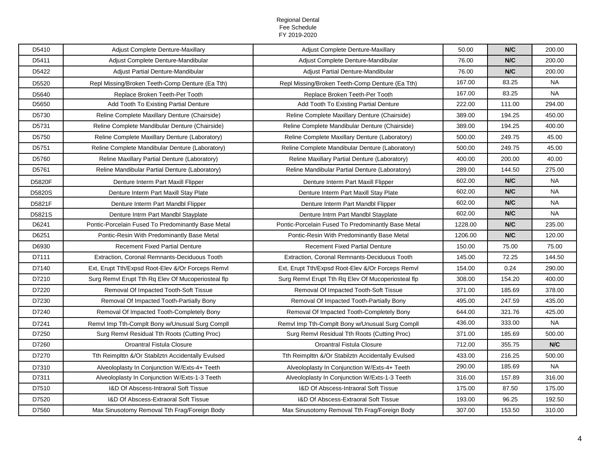| D5410  | Adjust Complete Denture-Maxillary                   | Adjust Complete Denture-Maxillary                  | 50.00   | N/C    | 200.00    |
|--------|-----------------------------------------------------|----------------------------------------------------|---------|--------|-----------|
| D5411  | Adjust Complete Denture-Mandibular                  | Adjust Complete Denture-Mandibular                 | 76.00   | N/C    | 200.00    |
| D5422  | Adjust Partial Denture-Mandibular                   | Adjust Partial Denture-Mandibular                  | 76.00   | N/C    | 200.00    |
| D5520  | Repl Missing/Broken Teeth-Comp Denture (Ea Tth)     | Repl Missing/Broken Teeth-Comp Denture (Ea Tth)    | 167.00  | 83.25  | <b>NA</b> |
| D5640  | Replace Broken Teeth-Per Tooth                      | Replace Broken Teeth-Per Tooth                     | 167.00  | 83.25  | NA        |
| D5650  | Add Tooth To Existing Partial Denture               | Add Tooth To Existing Partial Denture              | 222.00  | 111.00 | 294.00    |
| D5730  | Reline Complete Maxillary Denture (Chairside)       | Reline Complete Maxillary Denture (Chairside)      | 389.00  | 194.25 | 450.00    |
| D5731  | Reline Complete Mandibular Denture (Chairside)      | Reline Complete Mandibular Denture (Chairside)     | 389.00  | 194.25 | 400.00    |
| D5750  | Reline Complete Maxillary Denture (Laboratory)      | Reline Complete Maxillary Denture (Laboratory)     | 500.00  | 249.75 | 45.00     |
| D5751  | Reline Complete Mandibular Denture (Laboratory)     | Reline Complete Mandibular Denture (Laboratory)    | 500.00  | 249.75 | 45.00     |
| D5760  | Reline Maxillary Partial Denture (Laboratory)       | Reline Maxillary Partial Denture (Laboratory)      | 400.00  | 200.00 | 40.00     |
| D5761  | Reline Mandibular Partial Denture (Laboratory)      | Reline Mandibular Partial Denture (Laboratory)     | 289.00  | 144.50 | 275.00    |
| D5820F | Denture Interm Part Maxill Flipper                  | Denture Interm Part Maxill Flipper                 | 602.00  | N/C    | <b>NA</b> |
| D5820S | Denture Interm Part Maxill Stay Plate               | Denture Interm Part Maxill Stay Plate              | 602.00  | N/C    | <b>NA</b> |
| D5821F | Denture Interm Part Mandbl Flipper                  | Denture Interm Part Mandbl Flipper                 | 602.00  | N/C    | <b>NA</b> |
| D5821S | Denture Intrm Part Mandbl Stayplate                 | Denture Intrm Part Mandbl Stayplate                | 602.00  | N/C    | <b>NA</b> |
| D6241  | Pontic-Porcelain Fused To Predominantly Base Metal  | Pontic-Porcelain Fused To Predominantly Base Metal | 1228.00 | N/C    | 235.00    |
| D6251  | Pontic-Resin With Predominantly Base Metal          | Pontic-Resin With Predominantly Base Metal         | 1206.00 | N/C    | 120.00    |
| D6930  | <b>Recement Fixed Partial Denture</b>               | <b>Recement Fixed Partial Denture</b>              | 150.00  | 75.00  | 75.00     |
| D7111  | <b>Extraction, Coronal Remnants-Deciduous Tooth</b> | Extraction, Coronal Remnants-Deciduous Tooth       | 145.00  | 72.25  | 144.50    |
| D7140  | Ext, Erupt Tth/Expsd Root-Elev &/Or Forceps Remvl   | Ext, Erupt Tth/Expsd Root-Elev &/Or Forceps Remvl  | 154.00  | 0.24   | 290.00    |
| D7210  | Surg Remvl Erupt Tth Rq Elev Of Mucoperiosteal flp  | Surg Remvl Erupt Tth Rq Elev Of Mucoperiosteal flp | 308.00  | 154.20 | 400.00    |
| D7220  | Removal Of Impacted Tooth-Soft Tissue               | Removal Of Impacted Tooth-Soft Tissue              | 371.00  | 185.69 | 378.00    |
| D7230  | Removal Of Impacted Tooth-Partially Bony            | Removal Of Impacted Tooth-Partially Bony           | 495.00  | 247.59 | 435.00    |
| D7240  | Removal Of Impacted Tooth-Completely Bony           | Removal Of Impacted Tooth-Completely Bony          | 644.00  | 321.76 | 425.00    |
| D7241  | Remvl Imp Tth-Complt Bony w/Unusual Surg Compll     | Remvl Imp Tth-Complt Bony w/Unusual Surg Compli    | 436.00  | 333.00 | <b>NA</b> |
| D7250  | Surg Remvl Residual Tth Roots (Cutting Proc)        | Surg Remvl Residual Tth Roots (Cutting Proc)       | 371.00  | 185.69 | 500.00    |
| D7260  | Oroantral Fistula Closure                           | Oroantral Fistula Closure                          | 712.00  | 355.75 | N/C       |
| D7270  | Tth Reimplttn &/Or Stabilztn Accidentally Evulsed   | Tth Reimplttn &/Or Stabilztn Accidentally Evulsed  | 433.00  | 216.25 | 500.00    |
| D7310  | Alveoloplasty In Conjunction W/Exts-4+ Teeth        | Alveoloplasty In Conjunction W/Exts-4+ Teeth       | 290.00  | 185.69 | <b>NA</b> |
| D7311  | Alveoloplasty In Conjunction W/Exts-1-3 Teeth       | Alveoloplasty In Conjunction W/Exts-1-3 Teeth      | 316.00  | 157.89 | 316.00    |
| D7510  | I&D Of Abscess-Intraoral Soft Tissue                | I&D Of Abscess-Intraoral Soft Tissue               | 175.00  | 87.50  | 175.00    |
| D7520  | I&D Of Abscess-Extraoral Soft Tissue                | I&D Of Abscess-Extraoral Soft Tissue               | 193.00  | 96.25  | 192.50    |
| D7560  | Max Sinusotomy Removal Tth Frag/Foreign Body        | Max Sinusotomy Removal Tth Frag/Foreign Body       | 307.00  | 153.50 | 310.00    |